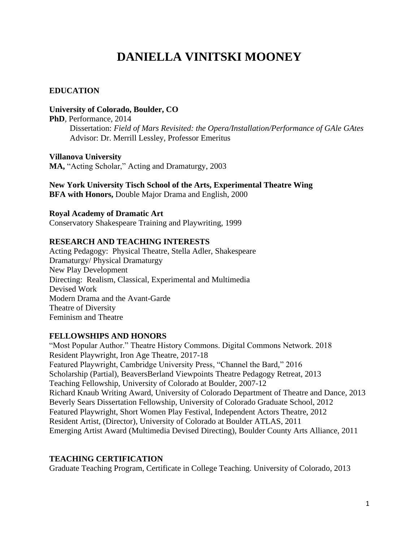# **DANIELLA VINITSKI MOONEY**

# **EDUCATION**

**University of Colorado, Boulder, CO**

**PhD**, Performance, 2014

 Dissertation: *Field of Mars Revisited: the Opera/Installation/Performance of GAle GAtes*  Advisor: Dr. Merrill Lessley, Professor Emeritus

**Villanova University MA,** "Acting Scholar," Acting and Dramaturgy, 2003

**New York University Tisch School of the Arts, Experimental Theatre Wing BFA with Honors,** Double Major Drama and English, 2000

**Royal Academy of Dramatic Art** Conservatory Shakespeare Training and Playwriting, 1999

# **RESEARCH AND TEACHING INTERESTS**

Acting Pedagogy: Physical Theatre, Stella Adler, Shakespeare Dramaturgy/ Physical Dramaturgy New Play Development Directing: Realism, Classical, Experimental and Multimedia Devised Work Modern Drama and the Avant-Garde Theatre of Diversity Feminism and Theatre

# **FELLOWSHIPS AND HONORS**

"Most Popular Author." Theatre History Commons. Digital Commons Network. 2018 Resident Playwright, Iron Age Theatre, 2017-18 Featured Playwright, Cambridge University Press, "Channel the Bard," 2016 Scholarship (Partial), BeaversBerland Viewpoints Theatre Pedagogy Retreat, 2013 Teaching Fellowship, University of Colorado at Boulder, 2007-12 Richard Knaub Writing Award, University of Colorado Department of Theatre and Dance, 2013 Beverly Sears Dissertation Fellowship, University of Colorado Graduate School, 2012 Featured Playwright, Short Women Play Festival, Independent Actors Theatre, 2012 Resident Artist, (Director), University of Colorado at Boulder ATLAS, 2011 Emerging Artist Award (Multimedia Devised Directing), Boulder County Arts Alliance, 2011

# **TEACHING CERTIFICATION**

Graduate Teaching Program, Certificate in College Teaching. University of Colorado, 2013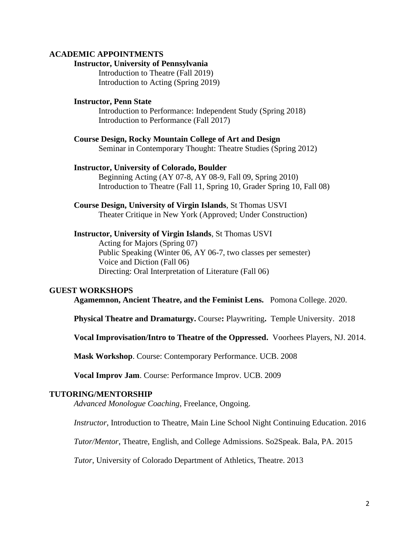## **ACADEMIC APPOINTMENTS**

### **Instructor, University of Pennsylvania**

Introduction to Theatre (Fall 2019) Introduction to Acting (Spring 2019)

# **Instructor, Penn State**

Introduction to Performance: Independent Study (Spring 2018) Introduction to Performance (Fall 2017)

**Course Design, Rocky Mountain College of Art and Design** Seminar in Contemporary Thought: Theatre Studies (Spring 2012)

#### **Instructor, University of Colorado, Boulder**

Beginning Acting (AY 07-8, AY 08-9, Fall 09, Spring 2010) Introduction to Theatre (Fall 11, Spring 10, Grader Spring 10, Fall 08)

**Course Design, University of Virgin Islands**, St Thomas USVI Theater Critique in New York (Approved; Under Construction)

**Instructor, University of Virgin Islands**, St Thomas USVI Acting for Majors (Spring 07) Public Speaking (Winter 06, AY 06-7, two classes per semester) Voice and Diction (Fall 06) Directing: Oral Interpretation of Literature (Fall 06)

### **GUEST WORKSHOPS**

**Agamemnon, Ancient Theatre, and the Feminist Lens.** Pomona College. 2020.

**Physical Theatre and Dramaturgy.** Course**:** Playwriting**.** Temple University. 2018

**Vocal Improvisation/Intro to Theatre of the Oppressed.** Voorhees Players, NJ. 2014.

**Mask Workshop**. Course: Contemporary Performance. UCB. 2008

**Vocal Improv Jam**. Course: Performance Improv. UCB. 2009

#### **TUTORING/MENTORSHIP**

*Advanced Monologue Coaching*, Freelance, Ongoing.

*Instructor*, Introduction to Theatre, Main Line School Night Continuing Education. 2016

*Tutor/Mentor*, Theatre, English, and College Admissions. So2Speak. Bala, PA. 2015

*Tutor*, University of Colorado Department of Athletics, Theatre. 2013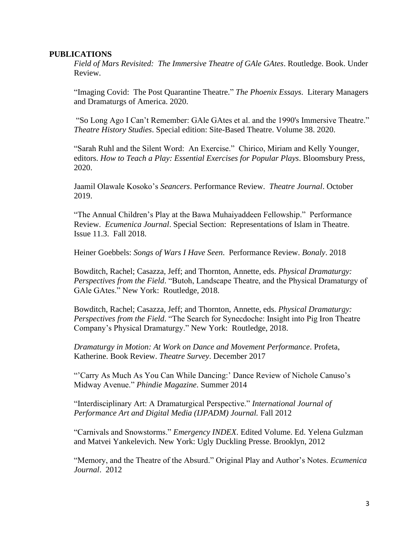## **PUBLICATIONS**

*Field of Mars Revisited: The Immersive Theatre of GAle GAtes*. Routledge. Book. Under Review.

"Imaging Covid: The Post Quarantine Theatre." *The Phoenix Essays*. Literary Managers and Dramaturgs of America. 2020.

"So Long Ago I Can't Remember: GAle GAtes et al. and the 1990's Immersive Theatre." *Theatre History Studies*. Special edition: Site-Based Theatre. Volume 38. 2020.

"Sarah Ruhl and the Silent Word: An Exercise." Chirico, Miriam and Kelly Younger, editors. *How to Teach a Play: Essential Exercises for Popular Plays*. Bloomsbury Press, 2020.

Jaamil Olawale Kosoko's *Seancers*. Performance Review. *Theatre Journal*. October 2019.

"The Annual Children's Play at the Bawa Muhaiyaddeen Fellowship." Performance Review. *Ecumenica Journal*. Special Section: Representations of Islam in Theatre. Issue 11.3. Fall 2018.

Heiner Goebbels: *Songs of Wars I Have Seen*. Performance Review. *Bonaly*. 2018

Bowditch, Rachel; Casazza, Jeff; and Thornton, Annette, eds. *Physical Dramaturgy: Perspectives from the Field*. "Butoh, Landscape Theatre, and the Physical Dramaturgy of GAle GAtes." New York: Routledge, 2018.

Bowditch, Rachel; Casazza, Jeff; and Thornton, Annette, eds. *Physical Dramaturgy: Perspectives from the Field*. "The Search for Synecdoche: Insight into Pig Iron Theatre Company's Physical Dramaturgy." New York: Routledge, 2018.

*Dramaturgy in Motion: At Work on Dance and Movement Performance*. Profeta, Katherine. Book Review. *Theatre Survey*. December 2017

"'Carry As Much As You Can While Dancing:' Dance Review of Nichole Canuso's Midway Avenue." *Phindie Magazine*. Summer 2014

"Interdisciplinary Art: A Dramaturgical Perspective." *International Journal of Performance Art and Digital Media (IJPADM) Journal.* Fall 2012

"Carnivals and Snowstorms." *Emergency INDEX*. Edited Volume. Ed. Yelena Gulzman and Matvei Yankelevich. New York: Ugly Duckling Presse. Brooklyn, 2012

"Memory, and the Theatre of the Absurd." Original Play and Author's Notes. *Ecumenica Journal*. 2012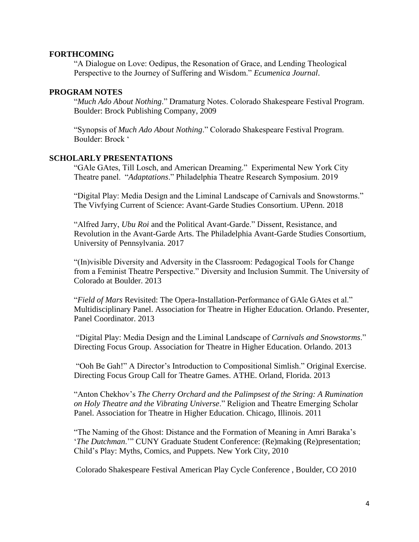# **FORTHCOMING**

"A Dialogue on Love: Oedipus, the Resonation of Grace, and Lending Theological Perspective to the Journey of Suffering and Wisdom." *Ecumenica Journal*.

# **PROGRAM NOTES**

"*Much Ado About Nothing*." Dramaturg Notes. Colorado Shakespeare Festival Program. Boulder: Brock Publishing Company, 2009

"Synopsis of *Much Ado About Nothing*." Colorado Shakespeare Festival Program. Boulder: Brock '

# **SCHOLARLY PRESENTATIONS**

"GAle GAtes, Till Losch, and American Dreaming." Experimental New York City Theatre panel. "*Adaptations*." Philadelphia Theatre Research Symposium. 2019

"Digital Play: Media Design and the Liminal Landscape of Carnivals and Snowstorms." The Vivfying Current of Science: Avant-Garde Studies Consortium. UPenn. 2018

"Alfred Jarry, *Ubu Roi* and the Political Avant-Garde." Dissent, Resistance, and Revolution in the Avant-Garde Arts. The Philadelphia Avant-Garde Studies Consortium, University of Pennsylvania. 2017

"(In)visible Diversity and Adversity in the Classroom: Pedagogical Tools for Change from a Feminist Theatre Perspective." Diversity and Inclusion Summit. The University of Colorado at Boulder. 2013

"*Field of Mars* Revisited: The Opera-Installation-Performance of GAle GAtes et al." Multidisciplinary Panel. Association for Theatre in Higher Education. Orlando. Presenter, Panel Coordinator. 2013

"Digital Play: Media Design and the Liminal Landscape of *Carnivals and Snowstorms*." Directing Focus Group. Association for Theatre in Higher Education. Orlando. 2013

"Ooh Be Gah!" A Director's Introduction to Compositional Simlish." Original Exercise. Directing Focus Group Call for Theatre Games. ATHE. Orland, Florida. 2013

"Anton Chekhov's *The Cherry Orchard and the Palimpsest of the String: A Rumination on Holy Theatre and the Vibrating Universe*." Religion and Theatre Emerging Scholar Panel. Association for Theatre in Higher Education. Chicago, Illinois. 2011

"The Naming of the Ghost: Distance and the Formation of Meaning in Amri Baraka's '*The Dutchman*.'" CUNY Graduate Student Conference: (Re)making (Re)presentation; Child's Play: Myths, Comics, and Puppets. New York City, 2010

Colorado Shakespeare Festival American Play Cycle Conference , Boulder, CO 2010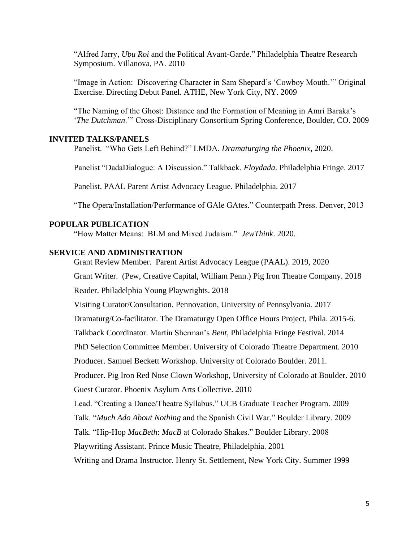"Alfred Jarry, *Ubu Roi* and the Political Avant-Garde." Philadelphia Theatre Research Symposium. Villanova, PA. 2010

"Image in Action: Discovering Character in Sam Shepard's 'Cowboy Mouth.'" Original Exercise. Directing Debut Panel. ATHE, New York City, NY. 2009

"The Naming of the Ghost: Distance and the Formation of Meaning in Amri Baraka's '*The Dutchman*.'" Cross-Disciplinary Consortium Spring Conference, Boulder, CO. 2009

### **INVITED TALKS/PANELS**

Panelist. "Who Gets Left Behind?" LMDA. *Dramaturging the Phoenix*, 2020.

Panelist "DadaDialogue: A Discussion." Talkback. *Floydada*. Philadelphia Fringe. 2017

Panelist. PAAL Parent Artist Advocacy League. Philadelphia. 2017

"The Opera/Installation/Performance of GAle GAtes." Counterpath Press. Denver, 2013

# **POPULAR PUBLICATION**

"How Matter Means: BLM and Mixed Judaism." *JewThink*. 2020.

# **SERVICE AND ADMINISTRATION**

Grant Review Member. Parent Artist Advocacy League (PAAL). 2019, 2020

Grant Writer. (Pew, Creative Capital, William Penn.) Pig Iron Theatre Company. 2018

Reader. Philadelphia Young Playwrights. 2018

Visiting Curator/Consultation. Pennovation, University of Pennsylvania. 2017

Dramaturg/Co-facilitator. The Dramaturgy Open Office Hours Project, Phila. 2015-6.

Talkback Coordinator. Martin Sherman's *Bent*, Philadelphia Fringe Festival. 2014

PhD Selection Committee Member. University of Colorado Theatre Department. 2010

Producer. Samuel Beckett Workshop. University of Colorado Boulder. 2011.

Producer. Pig Iron Red Nose Clown Workshop, University of Colorado at Boulder. 2010 Guest Curator. Phoenix Asylum Arts Collective. 2010

Lead. "Creating a Dance/Theatre Syllabus." UCB Graduate Teacher Program. 2009

Talk. "*Much Ado About Nothing* and the Spanish Civil War." Boulder Library. 2009

Talk. "Hip-Hop *MacBeth*: *MacB* at Colorado Shakes." Boulder Library. 2008

Playwriting Assistant. Prince Music Theatre, Philadelphia. 2001

Writing and Drama Instructor. Henry St. Settlement, New York City. Summer 1999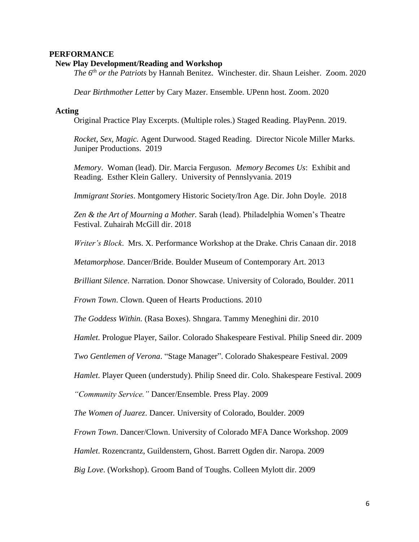#### **PERFORMANCE**

# **New Play Development/Reading and Workshop**

*The 6th or the Patriots* by Hannah Benitez. Winchester. dir. Shaun Leisher. Zoom. 2020

*Dear Birthmother Letter* by Cary Mazer. Ensemble. UPenn host. Zoom. 2020

#### **Acting**

Original Practice Play Excerpts. (Multiple roles.) Staged Reading. PlayPenn. 2019.

*Rocket, Sex, Magic.* Agent Durwood. Staged Reading. Director Nicole Miller Marks. Juniper Productions. 2019

*Memory*. Woman (lead). Dir. Marcia Ferguson. *Memory Becomes Us*: Exhibit and Reading. Esther Klein Gallery. University of Pennslyvania. 2019

*Immigrant Stories*. Montgomery Historic Society/Iron Age. Dir. John Doyle. 2018

*Zen & the Art of Mourning a Mother.* Sarah (lead). Philadelphia Women's Theatre Festival. Zuhairah McGill dir. 2018

*Writer's Block*. Mrs. X. Performance Workshop at the Drake. Chris Canaan dir. 2018

*Metamorphose*. Dancer/Bride. Boulder Museum of Contemporary Art. 2013

*Brilliant Silence*. Narration. Donor Showcase. University of Colorado, Boulder. 2011

*Frown Town*. Clown. Queen of Hearts Productions. 2010

*The Goddess Within.* (Rasa Boxes). Shngara. Tammy Meneghini dir. 2010

*Hamlet*. Prologue Player, Sailor. Colorado Shakespeare Festival. Philip Sneed dir. 2009

*Two Gentlemen of Verona*. "Stage Manager". Colorado Shakespeare Festival. 2009

*Hamlet*. Player Queen (understudy). Philip Sneed dir. Colo. Shakespeare Festival. 2009

*"Community Service."* Dancer/Ensemble. Press Play. 2009

*The Women of Juarez*. Dancer*.* University of Colorado, Boulder. 2009

*Frown Town*. Dancer/Clown. University of Colorado MFA Dance Workshop. 2009

*Hamlet*. Rozencrantz, Guildenstern, Ghost. Barrett Ogden dir. Naropa. 2009

*Big Love*. (Workshop). Groom Band of Toughs. Colleen Mylott dir. 2009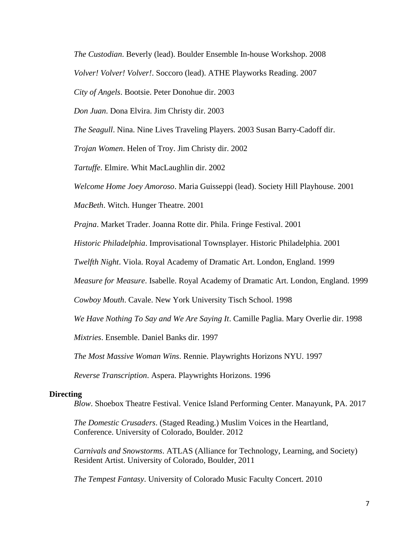*The Custodian*. Beverly (lead). Boulder Ensemble In-house Workshop. 2008

*Volver! Volver! Volver!*. Soccoro (lead). ATHE Playworks Reading. 2007

*City of Angels*. Bootsie. Peter Donohue dir. 2003

*Don Juan*. Dona Elvira. Jim Christy dir. 2003

*The Seagull*. Nina. Nine Lives Traveling Players. 2003 Susan Barry-Cadoff dir.

*Trojan Women*. Helen of Troy. Jim Christy dir. 2002

*Tartuffe*. Elmire. Whit MacLaughlin dir. 2002

*Welcome Home Joey Amoroso*. Maria Guisseppi (lead). Society Hill Playhouse. 2001

*MacBeth*. Witch. Hunger Theatre. 2001

*Prajna*. Market Trader. Joanna Rotte dir. Phila. Fringe Festival. 2001

*Historic Philadelphia*. Improvisational Townsplayer. Historic Philadelphia. 2001

*Twelfth Night*. Viola. Royal Academy of Dramatic Art. London, England. 1999

*Measure for Measure*. Isabelle. Royal Academy of Dramatic Art. London, England. 1999

*Cowboy Mouth*. Cavale. New York University Tisch School. 1998

*We Have Nothing To Say and We Are Saying It*. Camille Paglia. Mary Overlie dir. 1998

*Mixtries*. Ensemble. Daniel Banks dir. 1997

*The Most Massive Woman Wins*. Rennie. Playwrights Horizons NYU. 1997

*Reverse Transcription*. Aspera. Playwrights Horizons. 1996

## **Directing**

*Blow*. Shoebox Theatre Festival. Venice Island Performing Center. Manayunk, PA. 2017

*The Domestic Crusaders*. (Staged Reading.) Muslim Voices in the Heartland, Conference. University of Colorado, Boulder. 2012

*Carnivals and Snowstorms*. ATLAS (Alliance for Technology, Learning, and Society) Resident Artist. University of Colorado, Boulder, 2011

*The Tempest Fantasy*. University of Colorado Music Faculty Concert. 2010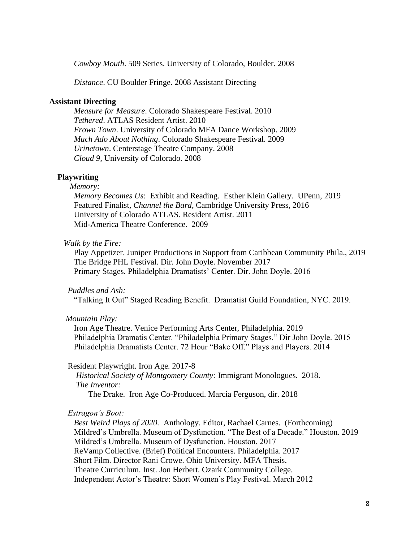*Cowboy Mouth*. 509 Series. University of Colorado, Boulder. 2008

*Distance*. CU Boulder Fringe. 2008 Assistant Directing

# **Assistant Directing**

*Measure for Measure*. Colorado Shakespeare Festival. 2010 *Tethered*. ATLAS Resident Artist. 2010 *Frown Town*. University of Colorado MFA Dance Workshop. 2009 *Much Ado About Nothing*. Colorado Shakespeare Festival. 2009 *Urinetown*. Centerstage Theatre Company. 2008 *Cloud 9,* University of Colorado. 2008

# **Playwriting**

# *Memory:*

*Memory Becomes Us*: Exhibit and Reading. Esther Klein Gallery. UPenn, 2019 Featured Finalist, *Channel the Bard*, Cambridge University Press, 2016 University of Colorado ATLAS. Resident Artist. 2011 Mid-America Theatre Conference. 2009

#### *Walk by the Fire:*

Play Appetizer. Juniper Productions in Support from Caribbean Community Phila., 2019 The Bridge PHL Festival. Dir. John Doyle. November 2017 Primary Stages. Philadelphia Dramatists' Center. Dir. John Doyle. 2016

*Puddles and Ash:*

"Talking It Out" Staged Reading Benefit. Dramatist Guild Foundation, NYC. 2019.

#### *Mountain Play:*

Iron Age Theatre. Venice Performing Arts Center, Philadelphia. 2019 Philadelphia Dramatis Center. "Philadelphia Primary Stages." Dir John Doyle. 2015 Philadelphia Dramatists Center. 72 Hour "Bake Off." Plays and Players. 2014

#### Resident Playwright. Iron Age. 2017-8

 *Historical Society of Montgomery County:* Immigrant Monologues. 2018.  *The Inventor:*

The Drake. Iron Age Co-Produced. Marcia Ferguson, dir. 2018

#### *Estragon's Boot:*

*Best Weird Plays of 2020.* Anthology. Editor, Rachael Carnes. (Forthcoming) Mildred's Umbrella. Museum of Dysfunction. "The Best of a Decade." Houston. 2019 Mildred's Umbrella. Museum of Dysfunction. Houston. 2017 ReVamp Collective. (Brief) Political Encounters. Philadelphia. 2017 Short Film. Director Rani Crowe. Ohio University. MFA Thesis. Theatre Curriculum. Inst. Jon Herbert. Ozark Community College. Independent Actor's Theatre: Short Women's Play Festival. March 2012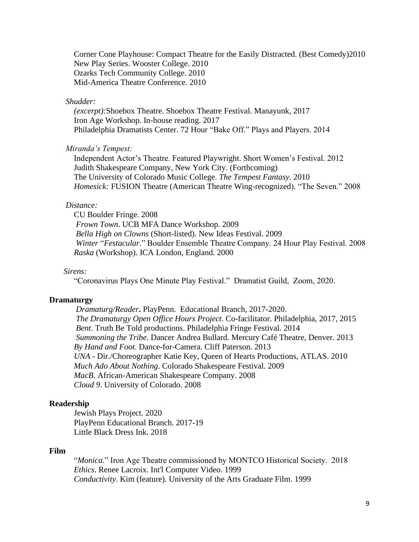Corner Cone Playhouse: Compact Theatre for the Easily Distracted. (Best Comedy)2010 New Play Series. Wooster College. 2010 Ozarks Tech Community College. 2010 Mid-America Theatre Conference. 2010

# *Shudder:*

*(excerpt):*Shoebox Theatre. Shoebox Theatre Festival. Manayunk, 2017 Iron Age Workshop. In-house reading. 2017 Philadelphia Dramatists Center. 72 Hour "Bake Off." Plays and Players. 2014

## *Miranda's Tempest:*

Independent Actor's Theatre. Featured Playwright. Short Women's Festival. 2012 Judith Shakespeare Company, New York City. (Forthcoming) The University of Colorado Music College. *The Tempest Fantasy*. 2010  *Homesick:* FUSION Theatre (American Theatre Wing-recognized). "The Seven." 2008

## *Distance:*

CU Boulder Fringe. 2008  *Frown Town*. UCB MFA Dance Workshop. 2009  *Bella High on Clowns* (Short-listed). New Ideas Festival. 2009  *Winter* "*Festacular*." Boulder Ensemble Theatre Company. 24 Hour Play Festival. 2008  *Raska* (Workshop). ICA London, England. 2000

# *Sirens:*

"Coronavirus Plays One Minute Play Festival." Dramatist Guild, Zoom, 2020.

#### **Dramaturgy**

 *Dramaturg/Reader***.** PlayPenn. Educational Branch, 2017-2020.  *The Dramaturgy Open Office Hours Project*. Co-facilitator. Philadelphia, 2017, 2015  *Bent*. Truth Be Told productions. Philadelphia Fringe Festival. 2014  *Summoning the Tribe*. Dancer Andrea Bullard. Mercury Café Theatre, Denver. 2013  *By Hand and Foot*. Dance-for-Camera. Cliff Paterson. 2013  *UNA* - Dir./Choreographer Katie Key, Queen of Hearts Productions, ATLAS. 2010  *Much Ado About Nothing*. Colorado Shakespeare Festival. 2009 *MacB*. African-American Shakespeare Company. 2008 *Cloud 9*. University of Colorado. 2008

# **Readership**

Jewish Plays Project. 2020 PlayPenn Educational Branch. 2017-19 Little Black Dress Ink. 2018

# **Film**

"*Monica*." Iron Age Theatre commissioned by MONTCO Historical Society. 2018 *Ethics*. Renee Lacroix. Int'l Computer Video. 1999 *Conductivity*. Kim (feature). University of the Arts Graduate Film. 1999